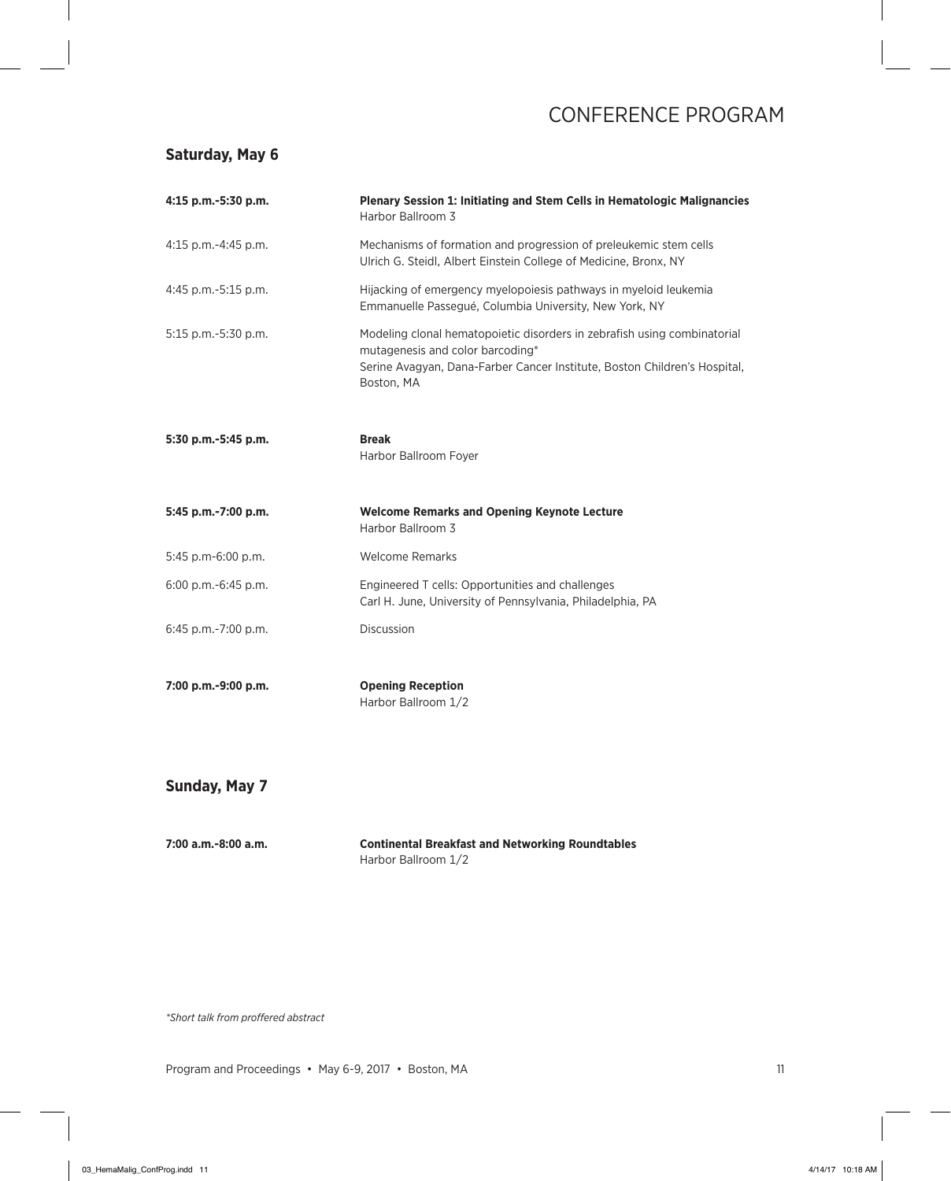### **Saturday, May 6**

| 4:15 p.m.-5:30 p.m. | Plenary Session 1: Initiating and Stem Cells in Hematologic Malignancies<br>Harbor Ballroom 3                                                                                                           |
|---------------------|---------------------------------------------------------------------------------------------------------------------------------------------------------------------------------------------------------|
| 4:15 p.m.-4:45 p.m. | Mechanisms of formation and progression of preleukemic stem cells<br>Ulrich G. Steidl, Albert Einstein College of Medicine, Bronx, NY                                                                   |
| 4:45 p.m.-5:15 p.m. | Hijacking of emergency myelopoiesis pathways in myeloid leukemia<br>Emmanuelle Passegué, Columbia University, New York, NY                                                                              |
| 5:15 p.m.-5:30 p.m. | Modeling clonal hematopoietic disorders in zebrafish using combinatorial<br>mutagenesis and color barcoding*<br>Serine Avagyan, Dana-Farber Cancer Institute, Boston Children's Hospital,<br>Boston, MA |
| 5:30 p.m.-5:45 p.m. | <b>Break</b><br>Harbor Ballroom Foyer                                                                                                                                                                   |
| 5:45 p.m.-7:00 p.m. | <b>Welcome Remarks and Opening Keynote Lecture</b><br>Harbor Ballroom 3                                                                                                                                 |
| 5:45 p.m-6:00 p.m.  | <b>Welcome Remarks</b>                                                                                                                                                                                  |
| 6:00 p.m.-6:45 p.m. | Engineered T cells: Opportunities and challenges<br>Carl H. June, University of Pennsylvania, Philadelphia, PA                                                                                          |
| 6:45 p.m.-7:00 p.m. | Discussion                                                                                                                                                                                              |
| 7:00 p.m.-9:00 p.m. | <b>Opening Reception</b><br>Harbor Ballroom 1/2                                                                                                                                                         |
| Sunday, May 7       |                                                                                                                                                                                                         |

| 7:00 a.m.-8:00 a.m. | <b>Continental Breakfast and Networking Roundtables</b> |
|---------------------|---------------------------------------------------------|
|                     | Harbor Ballroom 1/2                                     |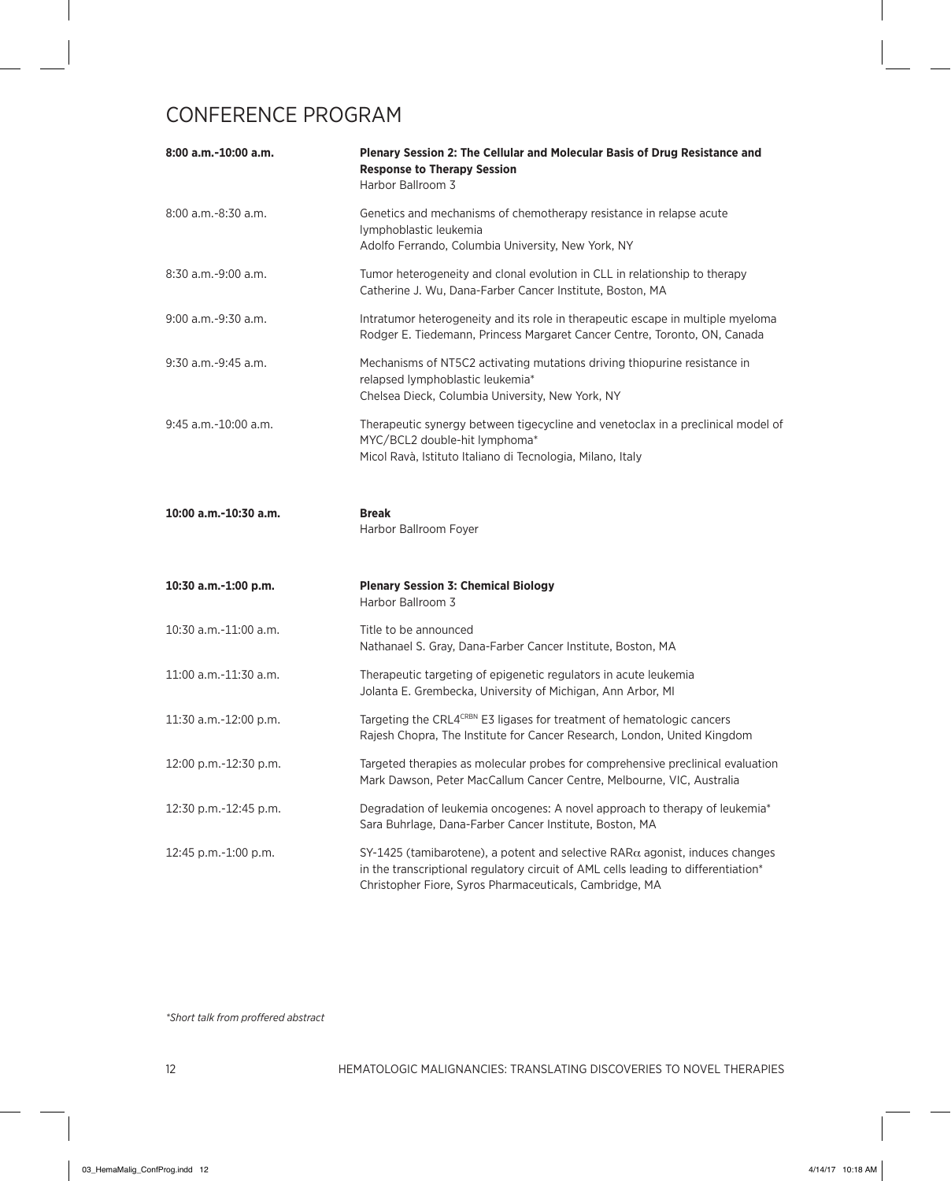| $8:00$ a.m.-10:00 a.m.   | Plenary Session 2: The Cellular and Molecular Basis of Drug Resistance and<br><b>Response to Therapy Session</b><br>Harbor Ballroom 3                                                                                                   |
|--------------------------|-----------------------------------------------------------------------------------------------------------------------------------------------------------------------------------------------------------------------------------------|
| $8:00$ a.m.- $8:30$ a.m. | Genetics and mechanisms of chemotherapy resistance in relapse acute<br>lymphoblastic leukemia<br>Adolfo Ferrando, Columbia University, New York, NY                                                                                     |
| $8:30$ a.m.-9:00 a.m.    | Tumor heterogeneity and clonal evolution in CLL in relationship to therapy<br>Catherine J. Wu, Dana-Farber Cancer Institute, Boston, MA                                                                                                 |
| 9:00 a.m.-9:30 a.m.      | Intratumor heterogeneity and its role in therapeutic escape in multiple myeloma<br>Rodger E. Tiedemann, Princess Margaret Cancer Centre, Toronto, ON, Canada                                                                            |
| $9:30$ a.m.-9:45 a.m.    | Mechanisms of NT5C2 activating mutations driving thiopurine resistance in<br>relapsed lymphoblastic leukemia*<br>Chelsea Dieck, Columbia University, New York, NY                                                                       |
| $9:45$ a.m.-10:00 a.m.   | Therapeutic synergy between tigecycline and venetoclax in a preclinical model of<br>MYC/BCL2 double-hit lymphoma*<br>Micol Ravà, Istituto Italiano di Tecnologia, Milano, Italy                                                         |
| 10:00 a.m.-10:30 a.m.    | <b>Break</b><br>Harbor Ballroom Foyer                                                                                                                                                                                                   |
| 10:30 a.m.-1:00 p.m.     | <b>Plenary Session 3: Chemical Biology</b><br>Harbor Ballroom 3                                                                                                                                                                         |
| 10:30 a.m.-11:00 a.m.    | Title to be announced<br>Nathanael S. Gray, Dana-Farber Cancer Institute, Boston, MA                                                                                                                                                    |
| 11:00 a.m.-11:30 a.m.    | Therapeutic targeting of epigenetic regulators in acute leukemia<br>Jolanta E. Grembecka, University of Michigan, Ann Arbor, MI                                                                                                         |
| 11:30 a.m.-12:00 p.m.    | Targeting the CRL4CRBN E3 ligases for treatment of hematologic cancers<br>Rajesh Chopra, The Institute for Cancer Research, London, United Kingdom                                                                                      |
| 12:00 p.m.-12:30 p.m.    | Targeted therapies as molecular probes for comprehensive preclinical evaluation<br>Mark Dawson, Peter MacCallum Cancer Centre, Melbourne, VIC, Australia                                                                                |
| 12:30 p.m.-12:45 p.m.    | Degradation of leukemia oncogenes: A novel approach to therapy of leukemia*<br>Sara Buhrlage, Dana-Farber Cancer Institute, Boston, MA                                                                                                  |
| 12:45 p.m.-1:00 p.m.     | $SY-1425$ (tamibarotene), a potent and selective RAR $\alpha$ agonist, induces changes<br>in the transcriptional regulatory circuit of AML cells leading to differentiation*<br>Christopher Fiore, Syros Pharmaceuticals, Cambridge, MA |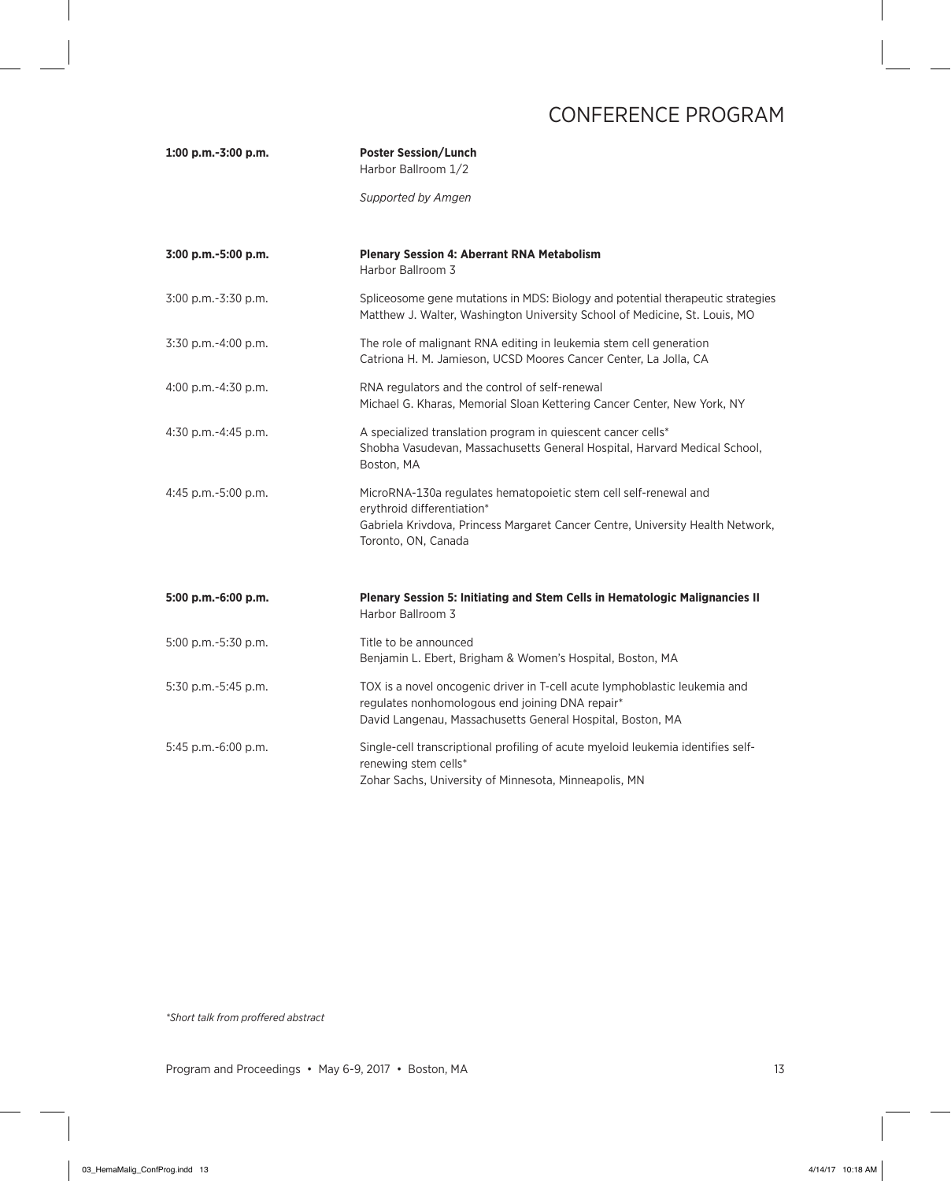| 1:00 p.m.-3:00 p.m. | <b>Poster Session/Lunch</b><br>Harbor Ballroom 1/2                                                                                                                                                      |
|---------------------|---------------------------------------------------------------------------------------------------------------------------------------------------------------------------------------------------------|
|                     | Supported by Amgen                                                                                                                                                                                      |
| 3:00 p.m.-5:00 p.m. | <b>Plenary Session 4: Aberrant RNA Metabolism</b><br>Harbor Ballroom 3                                                                                                                                  |
| 3:00 p.m.-3:30 p.m. | Spliceosome gene mutations in MDS: Biology and potential therapeutic strategies<br>Matthew J. Walter, Washington University School of Medicine, St. Louis, MO                                           |
| 3:30 p.m.-4:00 p.m. | The role of malignant RNA editing in leukemia stem cell generation<br>Catriona H. M. Jamieson, UCSD Moores Cancer Center, La Jolla, CA                                                                  |
| 4:00 p.m.-4:30 p.m. | RNA regulators and the control of self-renewal<br>Michael G. Kharas, Memorial Sloan Kettering Cancer Center, New York, NY                                                                               |
| 4:30 p.m.-4:45 p.m. | A specialized translation program in quiescent cancer cells*<br>Shobha Vasudevan, Massachusetts General Hospital, Harvard Medical School,<br>Boston, MA                                                 |
| 4:45 p.m.-5:00 p.m. | MicroRNA-130a regulates hematopoietic stem cell self-renewal and<br>erythroid differentiation*<br>Gabriela Krivdova, Princess Margaret Cancer Centre, University Health Network,<br>Toronto, ON, Canada |
| 5:00 p.m.-6:00 p.m. | Plenary Session 5: Initiating and Stem Cells in Hematologic Malignancies II<br>Harbor Ballroom 3                                                                                                        |
| 5:00 p.m.-5:30 p.m. | Title to be announced<br>Benjamin L. Ebert, Brigham & Women's Hospital, Boston, MA                                                                                                                      |
| 5:30 p.m.-5:45 p.m. | TOX is a novel oncogenic driver in T-cell acute lymphoblastic leukemia and<br>regulates nonhomologous end joining DNA repair*<br>David Langenau, Massachusetts General Hospital, Boston, MA             |
| 5:45 p.m.-6:00 p.m. | Single-cell transcriptional profiling of acute myeloid leukemia identifies self-<br>renewing stem cells*<br>Zohar Sachs, University of Minnesota, Minneapolis, MN                                       |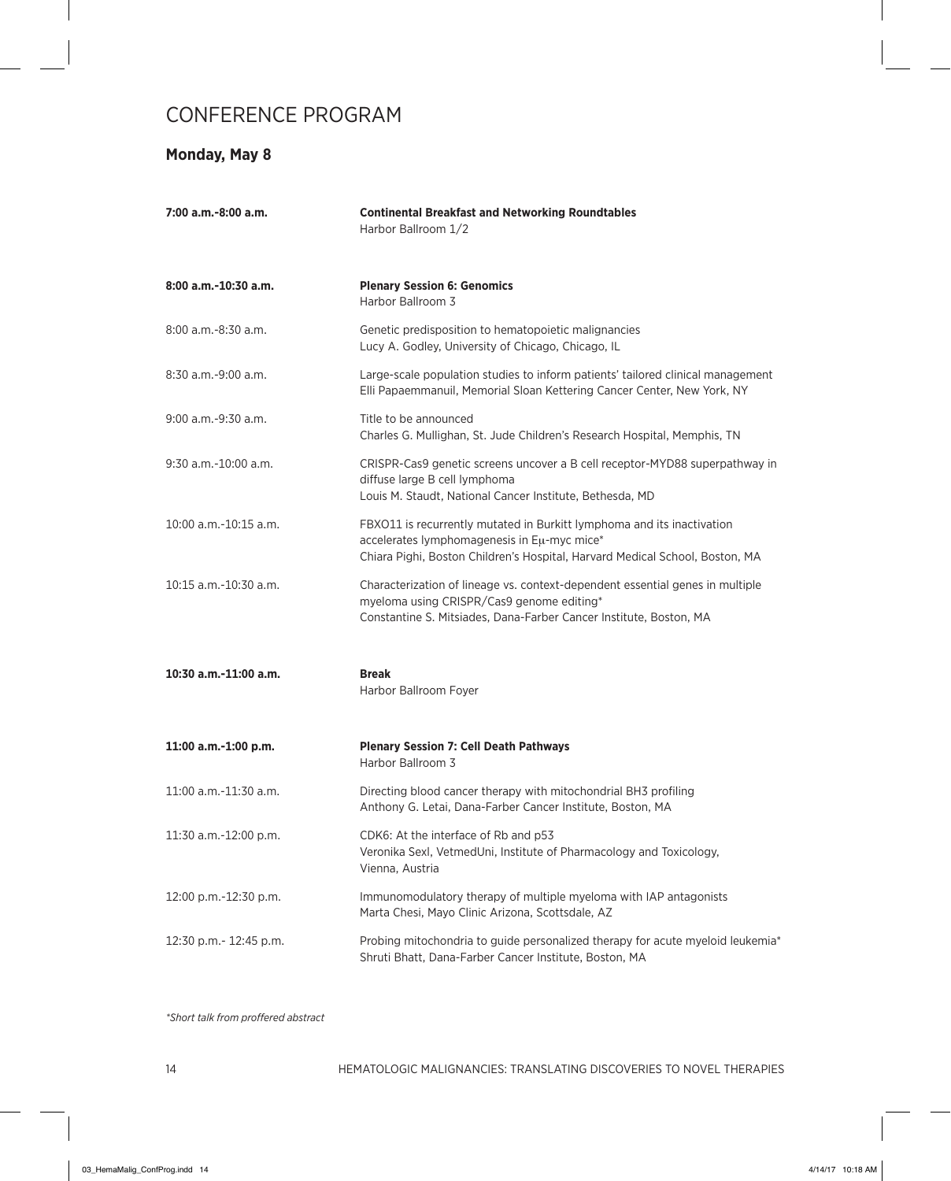### **Monday, May 8**

| 7:00 a.m.-8:00 a.m.    | <b>Continental Breakfast and Networking Roundtables</b><br>Harbor Ballroom 1/2                                                                                                                        |
|------------------------|-------------------------------------------------------------------------------------------------------------------------------------------------------------------------------------------------------|
| $8:00$ a.m.-10:30 a.m. | <b>Plenary Session 6: Genomics</b><br>Harbor Ballroom 3                                                                                                                                               |
| 8:00 a.m.-8:30 a.m.    | Genetic predisposition to hematopoietic malignancies<br>Lucy A. Godley, University of Chicago, Chicago, IL                                                                                            |
| 8:30 a.m.-9:00 a.m.    | Large-scale population studies to inform patients' tailored clinical management<br>Elli Papaemmanuil, Memorial Sloan Kettering Cancer Center, New York, NY                                            |
| 9:00 a.m.-9:30 a.m.    | Title to be announced<br>Charles G. Mullighan, St. Jude Children's Research Hospital, Memphis, TN                                                                                                     |
| $9:30$ a.m.-10:00 a.m. | CRISPR-Cas9 genetic screens uncover a B cell receptor-MYD88 superpathway in<br>diffuse large B cell lymphoma<br>Louis M. Staudt, National Cancer Institute, Bethesda, MD                              |
| 10:00 a.m.-10:15 a.m.  | FBXO11 is recurrently mutated in Burkitt lymphoma and its inactivation<br>accelerates lymphomagenesis in Eu-myc mice*<br>Chiara Pighi, Boston Children's Hospital, Harvard Medical School, Boston, MA |
| 10:15 a.m.-10:30 a.m.  | Characterization of lineage vs. context-dependent essential genes in multiple<br>myeloma using CRISPR/Cas9 genome editing*<br>Constantine S. Mitsiades, Dana-Farber Cancer Institute, Boston, MA      |
| 10:30 a.m.-11:00 a.m.  | <b>Break</b><br>Harbor Ballroom Foyer                                                                                                                                                                 |
| 11:00 a.m.-1:00 p.m.   | <b>Plenary Session 7: Cell Death Pathways</b><br>Harbor Ballroom 3                                                                                                                                    |
| 11:00 a.m.-11:30 a.m.  | Directing blood cancer therapy with mitochondrial BH3 profiling<br>Anthony G. Letai, Dana-Farber Cancer Institute, Boston, MA                                                                         |
| 11:30 a.m.-12:00 p.m.  | CDK6: At the interface of Rb and p53<br>Veronika Sexl, VetmedUni, Institute of Pharmacology and Toxicology,<br>Vienna, Austria                                                                        |
| 12:00 p.m.-12:30 p.m.  | Immunomodulatory therapy of multiple myeloma with IAP antagonists<br>Marta Chesi, Mayo Clinic Arizona, Scottsdale, AZ                                                                                 |
| 12:30 p.m.- 12:45 p.m. | Probing mitochondria to guide personalized therapy for acute myeloid leukemia <sup>*</sup><br>Shruti Bhatt, Dana-Farber Cancer Institute, Boston, MA                                                  |
|                        |                                                                                                                                                                                                       |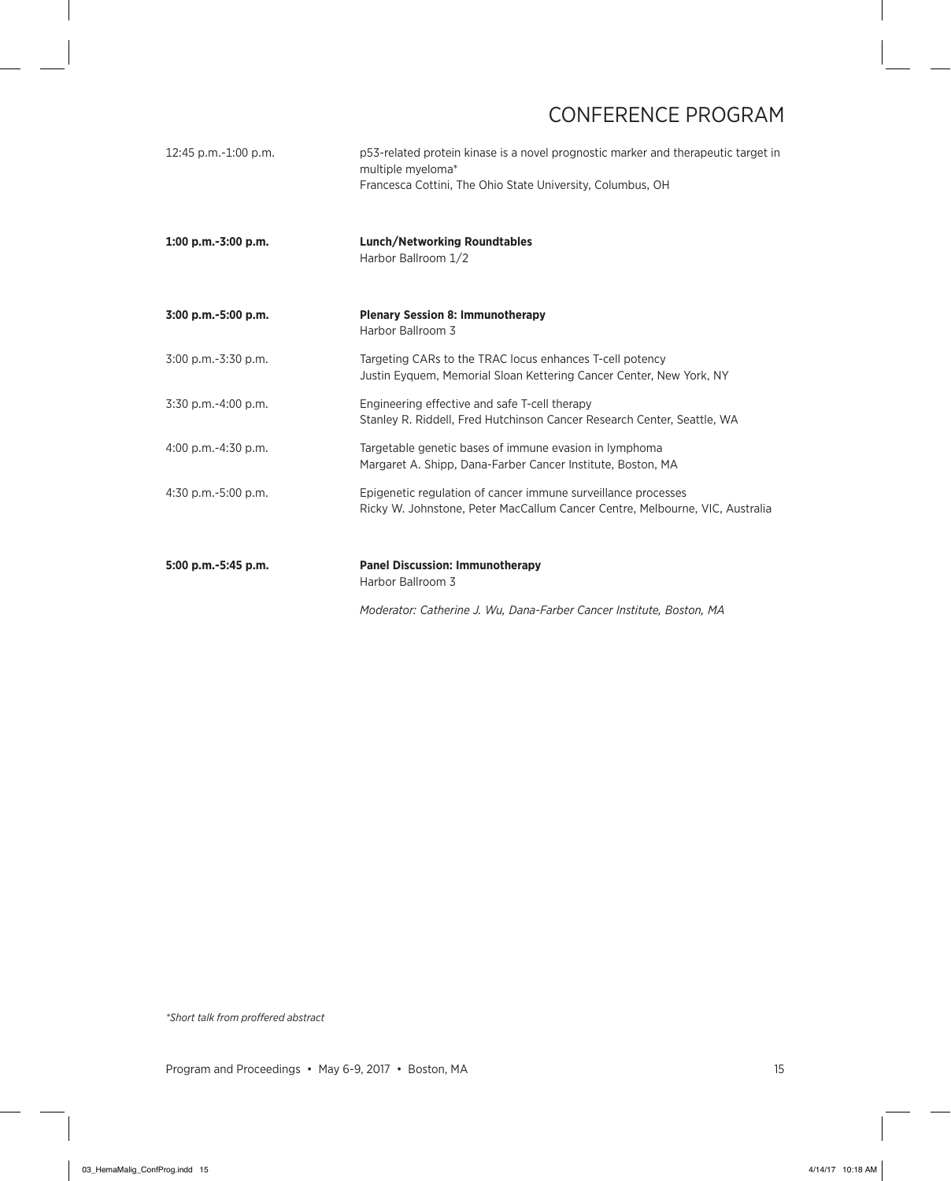| 12:45 p.m.-1:00 p.m.     | p53-related protein kinase is a novel prognostic marker and therapeutic target in<br>multiple myeloma*<br>Francesca Cottini, The Ohio State University, Columbus, OH |
|--------------------------|----------------------------------------------------------------------------------------------------------------------------------------------------------------------|
| $1:00$ p.m.-3:00 p.m.    | <b>Lunch/Networking Roundtables</b><br>Harbor Ballroom 1/2                                                                                                           |
| 3:00 p.m.-5:00 p.m.      | <b>Plenary Session 8: Immunotherapy</b><br>Harbor Ballroom 3                                                                                                         |
| 3:00 p.m.-3:30 p.m.      | Targeting CARs to the TRAC locus enhances T-cell potency<br>Justin Eyquem, Memorial Sloan Kettering Cancer Center, New York, NY                                      |
| 3:30 p.m.-4:00 p.m.      | Engineering effective and safe T-cell therapy<br>Stanley R. Riddell, Fred Hutchinson Cancer Research Center, Seattle, WA                                             |
| $4:00$ p.m.- $4:30$ p.m. | Targetable genetic bases of immune evasion in lymphoma<br>Margaret A. Shipp, Dana-Farber Cancer Institute, Boston, MA                                                |
| 4:30 p.m.-5:00 p.m.      | Epigenetic regulation of cancer immune surveillance processes<br>Ricky W. Johnstone, Peter MacCallum Cancer Centre, Melbourne, VIC, Australia                        |
| 5:00 p.m.-5:45 p.m.      | <b>Panel Discussion: Immunotherapy</b><br>Harbor Ballroom 3                                                                                                          |
|                          | Moderator: Catherine J. Wu, Dana-Farber Cancer Institute, Boston, MA                                                                                                 |